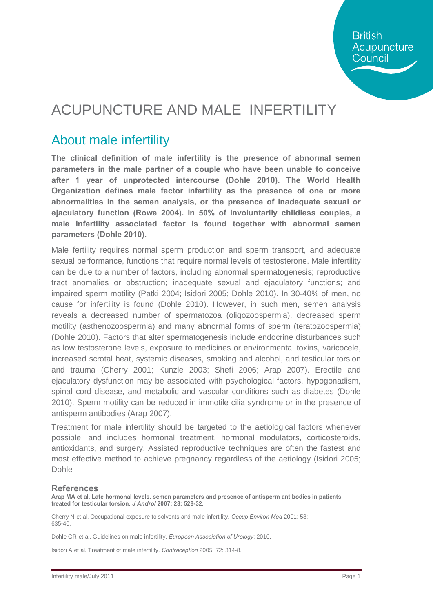## ACUPUNCTURE AND MALE INFERTILITY

#### About male infertility

**The clinical definition of male infertility is the presence of abnormal semen parameters in the male partner of a couple who have been unable to conceive after 1 year of unprotected intercourse (Dohle 2010). The World Health Organization defines male factor infertility as the presence of one or more abnormalities in the semen analysis, or the presence of inadequate sexual or ejaculatory function (Rowe 2004). In 50% of involuntarily childless couples, a male infertility associated factor is found together with abnormal semen parameters (Dohle 2010).** 

Male fertility requires normal sperm production and sperm transport, and adequate sexual performance, functions that require normal levels of testosterone. Male infertility can be due to a number of factors, including abnormal spermatogenesis; reproductive tract anomalies or obstruction; inadequate sexual and ejaculatory functions; and impaired sperm motility (Patki 2004; Isidori 2005; Dohle 2010). In 30-40% of men, no cause for infertility is found (Dohle 2010). However, in such men, semen analysis reveals a decreased number of spermatozoa (oligozoospermia), decreased sperm motility (asthenozoospermia) and many abnormal forms of sperm (teratozoospermia) (Dohle 2010). Factors that alter spermatogenesis include endocrine disturbances such as low testosterone levels, exposure to medicines or environmental toxins, varicocele, increased scrotal heat, systemic diseases, smoking and alcohol, and testicular torsion and trauma (Cherry 2001; Kunzle 2003; Shefi 2006; Arap 2007). Erectile and ejaculatory dysfunction may be associated with psychological factors, hypogonadism, spinal cord disease, and metabolic and vascular conditions such as diabetes (Dohle 2010). Sperm motility can be reduced in immotile cilia syndrome or in the presence of antisperm antibodies (Arap 2007).

Treatment for male infertility should be targeted to the aetiological factors whenever possible, and includes hormonal treatment, hormonal modulators, corticosteroids, antioxidants, and surgery. Assisted reproductive techniques are often the fastest and most effective method to achieve pregnancy regardless of the aetiology (Isidori 2005; Dohle

#### **References**

**Arap MA et al. Late hormonal levels, semen parameters and presence of antisperm antibodies in patients treated for testicular torsion.** *J Androl* **2007; 28: 528-32.**

Cherry N et al. Occupational exposure to solvents and male infertility. *Occup Environ Med* 2001; 58: 635-40.

Dohle GR et al. Guidelines on male infertility. *European Association of Urology*; 2010.

Isidori A et al. Treatment of male infertility. *Contraception* 2005; 72: 314-8.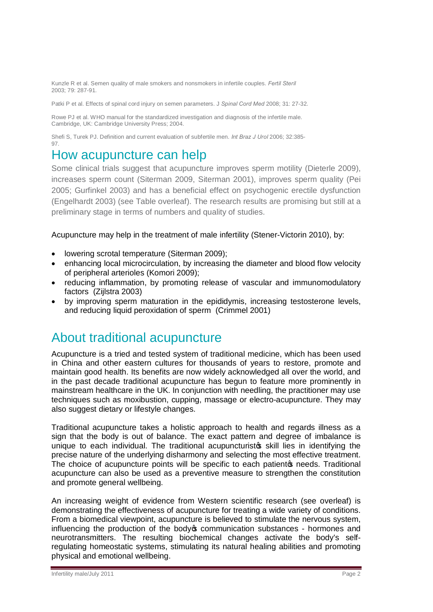Kunzle R et al. Semen quality of male smokers and nonsmokers in infertile couples. *Fertil Steril* 2003; 79: 287-91.

Patki P et al. Effects of spinal cord injury on semen parameters. J *Spinal Cord Med* 2008; 31: 27-32.

Rowe PJ et al. WHO manual for the standardized investigation and diagnosis of the infertile male. Cambridge, UK: Cambridge University Press; 2004.

Shefi S, Turek PJ. Definition and current evaluation of subfertile men. *Int Braz J Urol* 2006; 32:385- 97.

#### How acupuncture can help

Some clinical trials suggest that acupuncture improves sperm motility (Dieterle 2009), increases sperm count (Siterman 2009, Siterman 2001), improves sperm quality (Pei 2005; Gurfinkel 2003) and has a beneficial effect on psychogenic erectile dysfunction (Engelhardt 2003) (see Table overleaf). The research results are promising but still at a preliminary stage in terms of numbers and quality of studies.

Acupuncture may help in the treatment of male infertility (Stener-Victorin 2010), by:

- · lowering scrotal temperature (Siterman 2009);
- enhancing local microcirculation, by increasing the diameter and blood flow velocity of peripheral arterioles (Komori 2009);
- · reducing inflammation, by promoting release of vascular and immunomodulatory factors (Zijlstra 2003)
- · by improving sperm maturation in the epididymis, increasing testosterone levels, and reducing liquid peroxidation of sperm (Crimmel 2001)

#### About traditional acupuncture

Acupuncture is a tried and tested system of traditional medicine, which has been used in China and other eastern cultures for thousands of years to restore, promote and maintain good health. Its benefits are now widely acknowledged all over the world, and in the past decade traditional acupuncture has begun to feature more prominently in mainstream healthcare in the UK. In conjunction with needling, the practitioner may use techniques such as moxibustion, cupping, massage or electro-acupuncture. They may also suggest dietary or lifestyle changes.

Traditional acupuncture takes a holistic approach to health and regards illness as a sign that the body is out of balance. The exact pattern and degree of imbalance is unique to each individual. The traditional acupuncturistos skill lies in identifying the precise nature of the underlying disharmony and selecting the most effective treatment. The choice of acupuncture points will be specific to each patiento needs. Traditional acupuncture can also be used as a preventive measure to strengthen the constitution and promote general wellbeing.

An increasing weight of evidence from Western scientific research (see overleaf) is demonstrating the effectiveness of acupuncture for treating a wide variety of conditions. From a biomedical viewpoint, acupuncture is believed to stimulate the nervous system, influencing the production of the body oper numerication substances - hormones and neurotransmitters. The resulting biochemical changes activate the body's selfregulating homeostatic systems, stimulating its natural healing abilities and promoting physical and emotional wellbeing.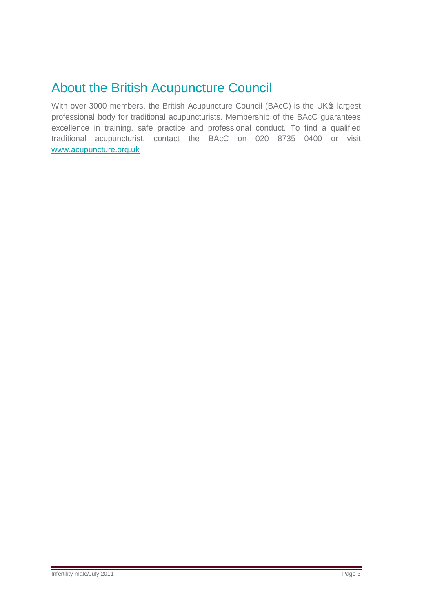### About the British Acupuncture Council

With over 3000 members, the British Acupuncture Council (BAcC) is the UK® largest professional body for traditional acupuncturists. Membership of the BAcC guarantees excellence in training, safe practice and professional conduct. To find a qualified traditional acupuncturist, contact the BAcC on 020 8735 0400 or visit [www.acupuncture.org.uk](http://www.acupuncture.org.uk/)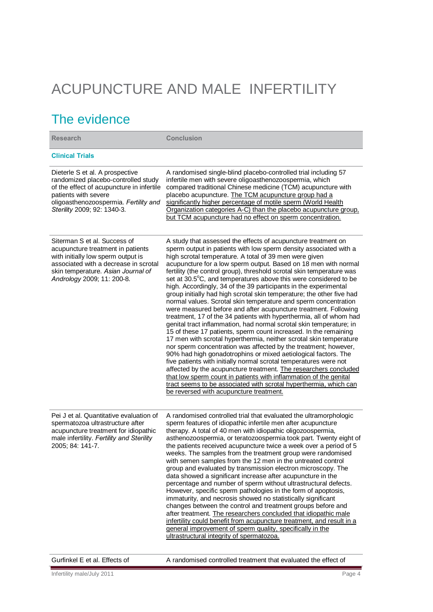# ACUPUNCTURE AND MALE INFERTILITY

### The evidence

| <b>Research</b>                                                                                                                                                                                                      | <b>Conclusion</b>                                                                                                                                                                                                                                                                                                                                                                                                                                                                                                                                                                                                                                                                                                                                                                                                                                                                                                                                                                                                                                                                                                                                                                                                                                                                                                                                                                                                                                          |
|----------------------------------------------------------------------------------------------------------------------------------------------------------------------------------------------------------------------|------------------------------------------------------------------------------------------------------------------------------------------------------------------------------------------------------------------------------------------------------------------------------------------------------------------------------------------------------------------------------------------------------------------------------------------------------------------------------------------------------------------------------------------------------------------------------------------------------------------------------------------------------------------------------------------------------------------------------------------------------------------------------------------------------------------------------------------------------------------------------------------------------------------------------------------------------------------------------------------------------------------------------------------------------------------------------------------------------------------------------------------------------------------------------------------------------------------------------------------------------------------------------------------------------------------------------------------------------------------------------------------------------------------------------------------------------------|
| <b>Clinical Trials</b>                                                                                                                                                                                               |                                                                                                                                                                                                                                                                                                                                                                                                                                                                                                                                                                                                                                                                                                                                                                                                                                                                                                                                                                                                                                                                                                                                                                                                                                                                                                                                                                                                                                                            |
| Dieterle S et al. A prospective<br>randomized placebo-controlled study<br>of the effect of acupuncture in infertile<br>patients with severe<br>oligoasthenozoospermia. Fertility and<br>Sterility 2009; 92: 1340-3.  | A randomised single-blind placebo-controlled trial including 57<br>infertile men with severe oligoasthenozoospermia, which<br>compared traditional Chinese medicine (TCM) acupuncture with<br>placebo acupuncture. The TCM acupuncture group had a<br>significantly higher percentage of motile sperm (World Health<br>Organization categories A-C) than the placebo acupuncture group.<br>but TCM acupuncture had no effect on sperm concentration.                                                                                                                                                                                                                                                                                                                                                                                                                                                                                                                                                                                                                                                                                                                                                                                                                                                                                                                                                                                                       |
| Siterman S et al. Success of<br>acupuncture treatment in patients<br>with initially low sperm output is<br>associated with a decrease in scrotal<br>skin temperature. Asian Journal of<br>Andrology 2009; 11: 200-8. | A study that assessed the effects of acupuncture treatment on<br>sperm output in patients with low sperm density associated with a<br>high scrotal temperature. A total of 39 men were given<br>acupuncture for a low sperm output. Based on 18 men with normal<br>fertility (the control group), threshold scrotal skin temperature was<br>set at 30.5°C, and temperatures above this were considered to be<br>high. Accordingly, 34 of the 39 participants in the experimental<br>group initially had high scrotal skin temperature; the other five had<br>normal values. Scrotal skin temperature and sperm concentration<br>were measured before and after acupuncture treatment. Following<br>treatment, 17 of the 34 patients with hyperthermia, all of whom had<br>genital tract inflammation, had normal scrotal skin temperature; in<br>15 of these 17 patients, sperm count increased. In the remaining<br>17 men with scrotal hyperthermia, neither scrotal skin temperature<br>nor sperm concentration was affected by the treatment; however,<br>90% had high gonadotrophins or mixed aetiological factors. The<br>five patients with initially normal scrotal temperatures were not<br>affected by the acupuncture treatment. The researchers concluded<br>that low sperm count in patients with inflammation of the genital<br>tract seems to be associated with scrotal hyperthermia, which can<br>be reversed with acupuncture treatment. |
| Pei J et al. Quantitative evaluation of<br>spermatozoa ultrastructure after<br>acupuncture treatment for idiopathic<br>male infertility. Fertility and Sterility<br>2005; 84: 141-7.                                 | A randomised controlled trial that evaluated the ultramorphologic<br>sperm features of idiopathic infertile men after acupuncture<br>therapy. A total of 40 men with idiopathic oligozoospermia,<br>asthenozoospermia, or teratozoospermia took part. Twenty eight of<br>the patients received acupuncture twice a week over a period of 5<br>weeks. The samples from the treatment group were randomised<br>with semen samples from the 12 men in the untreated control<br>group and evaluated by transmission electron microscopy. The<br>data showed a significant increase after acupuncture in the<br>percentage and number of sperm without ultrastructural defects.<br>However, specific sperm pathologies in the form of apoptosis,<br>immaturity, and necrosis showed no statistically significant<br>changes between the control and treatment groups before and<br>after treatment. The researchers concluded that idiopathic male<br>infertility could benefit from acupuncture treatment, and result in a<br>general improvement of sperm quality, specifically in the<br>ultrastructural integrity of spermatozoa.                                                                                                                                                                                                                                                                                                                           |
| Gurfinkel E et al. Effects of                                                                                                                                                                                        | A randomised controlled treatment that evaluated the effect of                                                                                                                                                                                                                                                                                                                                                                                                                                                                                                                                                                                                                                                                                                                                                                                                                                                                                                                                                                                                                                                                                                                                                                                                                                                                                                                                                                                             |
| Infertility male/July 2011                                                                                                                                                                                           | Page 4                                                                                                                                                                                                                                                                                                                                                                                                                                                                                                                                                                                                                                                                                                                                                                                                                                                                                                                                                                                                                                                                                                                                                                                                                                                                                                                                                                                                                                                     |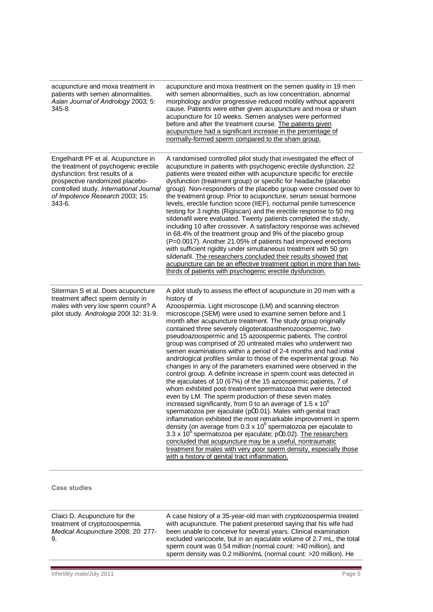| acupuncture and moxa treatment in<br>patients with semen abnormalities.<br>Asian Journal of Andrology 2003; 5:<br>345-8.                                                                                                                   | acupuncture and moxa treatment on the semen quality in 19 men<br>with semen abnormalities, such as low concentration, abnormal<br>morphology and/or progressive reduced motility without apparent<br>cause. Patients were either given acupuncture and moxa or sham<br>acupuncture for 10 weeks. Semen analyses were performed<br>before and after the treatment course. The patients given<br>acupuncture had a significant increase in the percentage of<br>normally-formed sperm compared to the sham group.                                                                                                                                                                                                                                                                                                                                                                                                                                                                                                                                                                                                                                                                                                                                                                                                                                                                                                                                                                                              |
|--------------------------------------------------------------------------------------------------------------------------------------------------------------------------------------------------------------------------------------------|--------------------------------------------------------------------------------------------------------------------------------------------------------------------------------------------------------------------------------------------------------------------------------------------------------------------------------------------------------------------------------------------------------------------------------------------------------------------------------------------------------------------------------------------------------------------------------------------------------------------------------------------------------------------------------------------------------------------------------------------------------------------------------------------------------------------------------------------------------------------------------------------------------------------------------------------------------------------------------------------------------------------------------------------------------------------------------------------------------------------------------------------------------------------------------------------------------------------------------------------------------------------------------------------------------------------------------------------------------------------------------------------------------------------------------------------------------------------------------------------------------------|
| Engelhardt PF et al. Acupuncture in<br>the treatment of psychogenic erectile<br>dysfunction: first results of a<br>prospective randomized placebo-<br>controlled study. International Journal<br>of Impotence Research 2003; 15:<br>343-6. | A randomised controlled pilot study that investigated the effect of<br>acupuncture in patients with psychogenic erectile dysfunction. 22<br>patients were treated either with acupuncture specific for erectile<br>dysfunction (treatment group) or specific for headache (placebo<br>group). Non-responders of the placebo group were crossed over to<br>the treatment group. Prior to acupuncture, serum sexual hormone<br>levels, erectile function score (IIEF), nocturnal penile tumescence<br>testing for 3 nights (Rigiscan) and the erectile response to 50 mg<br>sildenafil were evaluated. Twenty patients completed the study,<br>including 10 after crossover. A satisfactory response was achieved<br>in 68.4% of the treatment group and 9% of the placebo group<br>(P=0.0017). Another 21.05% of patients had improved erections<br>with sufficient rigidity under simultaneous treatment with 50 gm<br>sildenafil. The researchers concluded their results showed that<br>acupuncture can be an effective treatment option in more than two-<br>thirds of patients with psychogenic erectile dysfunction.                                                                                                                                                                                                                                                                                                                                                                                    |
| Siterman S et al. Does acupuncture<br>treatment affect sperm density in<br>males with very low sperm count? A<br>pilot study. Andrologia 200l 32: 31-9.                                                                                    | A pilot study to assess the effect of acupuncture in 20 men with a<br>history of<br>Azoospermia. Light microscope (LM) and scanning electron<br>microscope (SEM) were used to examine semen before and 1<br>month after acupuncture treatment. The study group originally<br>contained three severely oligoteratoasthenozoospermic, two<br>pseudoazoospermic and 15 azoospermic patients. The control<br>group was comprised of 20 untreated males who underwent two<br>semen examinations within a period of 2-4 months and had initial<br>andrological profiles similar to those of the experimental group. No<br>changes in any of the parameters examined were observed in the<br>control group. A definite increase in sperm count was detected in<br>the ejaculates of 10 (67%) of the 15 azoospermic patients, 7 of<br>whom exhibited post-treatment spermatozoa that were detected<br>even by LM. The sperm production of these seven males<br>increased significantly, from 0 to an average of 1.5 $\times$ 10 $^{6}$<br>spermatozoa per ejaculate (pm0.01). Males with genital tract<br>inflammation exhibited the most remarkable improvement in sperm<br>density (on average from $0.3 \times 10^6$ spermatozoa per ejaculate to<br>3.3 x 10 <sup>6</sup> spermatozoa per ejaculate; pm0.02). The researchers<br>concluded that acupuncture may be a useful, nontraumatic<br>treatment for males with very poor sperm density, especially those<br>with a history of genital tract inflammation. |
| <b>Case studies</b>                                                                                                                                                                                                                        |                                                                                                                                                                                                                                                                                                                                                                                                                                                                                                                                                                                                                                                                                                                                                                                                                                                                                                                                                                                                                                                                                                                                                                                                                                                                                                                                                                                                                                                                                                              |
| Claici D. Acupuncture for the<br>treatment of cryptozoospermia.<br>Medical Acupuncture 2008; 20: 277-<br>9.                                                                                                                                | A case history of a 35-year-old man with cryptozoospermia treated<br>with acupuncture. The patient presented saying that his wife had<br>been unable to conceive for several years. Clinical examination<br>excluded varicocele, but in an ejaculate volume of 2.7 mL, the total<br>sperm count was 0.54 million (normal count: >40 million), and<br>sperm density was 0.2 million/mL (normal count: >20 million). He                                                                                                                                                                                                                                                                                                                                                                                                                                                                                                                                                                                                                                                                                                                                                                                                                                                                                                                                                                                                                                                                                        |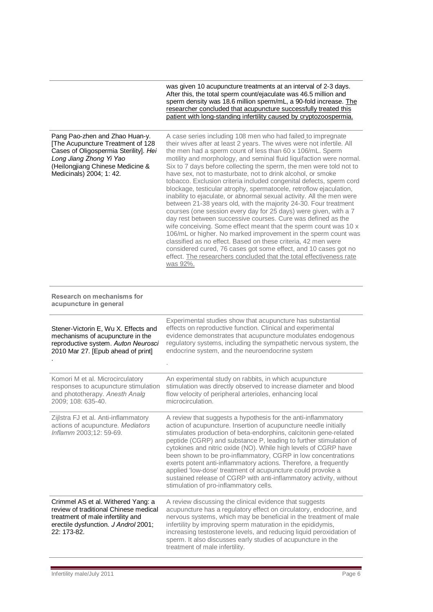was given 10 acupuncture treatments at an interval of 2-3 days. After this, the total sperm count/ejaculate was 46.5 million and sperm density was 18.6 million sperm/mL, a 90-fold increase. The researcher concluded that acupuncture successfully treated this patient with long-standing infertility caused by cryptozoospermia.

| Pang Pao-zhen and Zhao Huan-y.<br>[The Acupuncture Treatment of 128<br>Cases of Oligospermia Sterility]. Hei<br>Long Jiang Zhong Yi Yao<br>(Heilongjiang Chinese Medicine &<br>Medicinals) 2004; 1: 42. | A case series including 108 men who had failed to impregnate<br>their wives after at least 2 years. The wives were not infertile. All<br>the men had a sperm count of less than 60 x 106/mL. Sperm<br>motility and morphology, and seminal fluid liquifaction were normal.<br>Six to 7 days before collecting the sperm, the men were told not to<br>have sex, not to masturbate, not to drink alcohol, or smoke<br>tobacco. Exclusion criteria included congenital defects, sperm cord<br>blockage, testicular atrophy, spermatocele, retroflow ejaculation,<br>inability to ejaculate, or abnormal sexual activity. All the men were<br>between 21-38 years old, with the majority 24-30. Four treatment<br>courses (one session every day for 25 days) were given, with a 7<br>day rest between successive courses. Cure was defined as the<br>wife conceiving. Some effect meant that the sperm count was 10 x<br>106/mL or higher. No marked improvement in the sperm count was<br>classified as no effect. Based on these criteria, 42 men were<br>considered cured, 76 cases got some effect, and 10 cases got no<br>effect. The researchers concluded that the total effectiveness rate<br>was 92%. |
|---------------------------------------------------------------------------------------------------------------------------------------------------------------------------------------------------------|-------------------------------------------------------------------------------------------------------------------------------------------------------------------------------------------------------------------------------------------------------------------------------------------------------------------------------------------------------------------------------------------------------------------------------------------------------------------------------------------------------------------------------------------------------------------------------------------------------------------------------------------------------------------------------------------------------------------------------------------------------------------------------------------------------------------------------------------------------------------------------------------------------------------------------------------------------------------------------------------------------------------------------------------------------------------------------------------------------------------------------------------------------------------------------------------------------------|
| <b>Research on mechanisms for</b><br>acupuncture in general                                                                                                                                             |                                                                                                                                                                                                                                                                                                                                                                                                                                                                                                                                                                                                                                                                                                                                                                                                                                                                                                                                                                                                                                                                                                                                                                                                             |
| Stener-Victorin E, Wu X. Effects and<br>mechanisms of acupuncture in the<br>reproductive system. Auton Neurosci<br>2010 Mar 27. [Epub ahead of print]                                                   | Experimental studies show that acupuncture has substantial<br>effects on reproductive function. Clinical and experimental<br>evidence demonstrates that acupuncture modulates endogenous<br>regulatory systems, including the sympathetic nervous system, the<br>endocrine system, and the neuroendocrine system                                                                                                                                                                                                                                                                                                                                                                                                                                                                                                                                                                                                                                                                                                                                                                                                                                                                                            |
| Komori M et al. Microcirculatory<br>responses to acupuncture stimulation<br>and phototherapy. Anesth Analg<br>2009; 108: 635-40.                                                                        | An experimental study on rabbits, in which acupuncture<br>stimulation was directly observed to increase diameter and blood<br>flow velocity of peripheral arterioles, enhancing local<br>microcirculation.                                                                                                                                                                                                                                                                                                                                                                                                                                                                                                                                                                                                                                                                                                                                                                                                                                                                                                                                                                                                  |
| Zijlstra FJ et al. Anti-inflammatory<br>actions of acupuncture. Mediators<br>Inflamm 2003;12: 59-69.                                                                                                    | A review that suggests a hypothesis for the anti-inflammatory<br>action of acupuncture. Insertion of acupuncture needle initially<br>stimulates production of beta-endorphins, calcitonin gene-related<br>peptide (CGRP) and substance P, leading to further stimulation of<br>cytokines and nitric oxide (NO). While high levels of CGRP have<br>been shown to be pro-inflammatory, CGRP in low concentrations<br>exerts potent anti-inflammatory actions. Therefore, a frequently<br>applied 'low-dose' treatment of acupuncture could provoke a<br>sustained release of CGRP with anti-inflammatory activity, without<br>stimulation of pro-inflammatory cells.                                                                                                                                                                                                                                                                                                                                                                                                                                                                                                                                          |
| Crimmel AS et al. Withered Yang: a<br>review of traditional Chinese medical<br>treatment of male infertility and<br>erectile dysfunction. J Androl 2001;<br>22: 173-82.                                 | A review discussing the clinical evidence that suggests<br>acupuncture has a regulatory effect on circulatory, endocrine, and<br>nervous systems, which may be beneficial in the treatment of male<br>infertility by improving sperm maturation in the epididymis,<br>increasing testosterone levels, and reducing liquid peroxidation of<br>sperm. It also discusses early studies of acupuncture in the<br>treatment of male infertility.                                                                                                                                                                                                                                                                                                                                                                                                                                                                                                                                                                                                                                                                                                                                                                 |